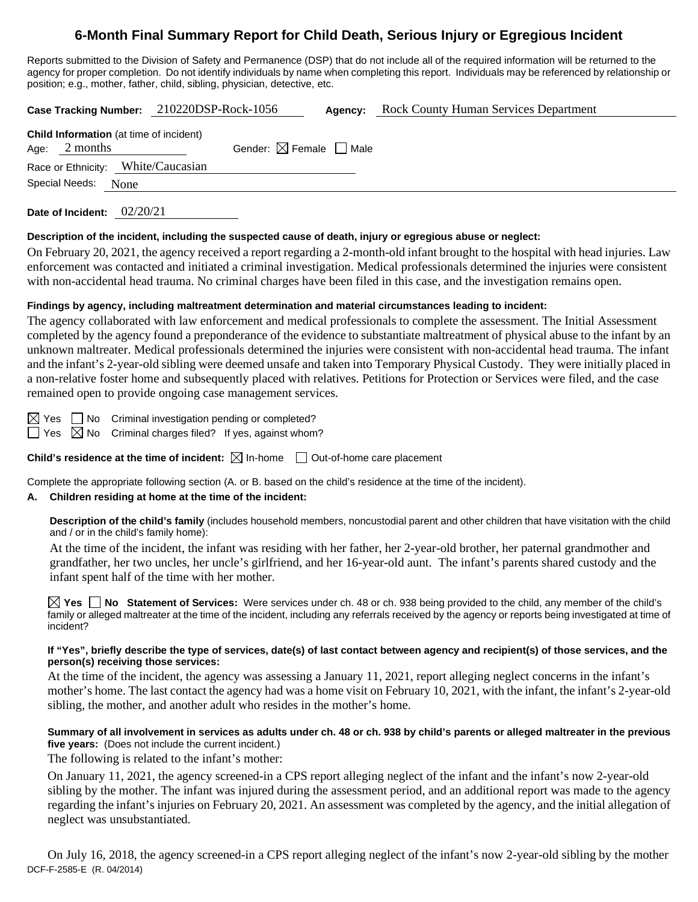# **6-Month Final Summary Report for Child Death, Serious Injury or Egregious Incident**

Reports submitted to the Division of Safety and Permanence (DSP) that do not include all of the required information will be returned to the agency for proper completion. Do not identify individuals by name when completing this report. Individuals may be referenced by relationship or position; e.g., mother, father, child, sibling, physician, detective, etc.

|                                                                   | Case Tracking Number: 210220DSP-Rock-1056 | Agency: | <b>Rock County Human Services Department</b> |
|-------------------------------------------------------------------|-------------------------------------------|---------|----------------------------------------------|
| <b>Child Information</b> (at time of incident)<br>Age: $2$ months | Gender: $\boxtimes$ Female $\Box$ Male    |         |                                              |
| Race or Ethnicity: White/Caucasian<br>Special Needs: None         |                                           |         |                                              |

**Date of Incident:** 02/20/21

#### **Description of the incident, including the suspected cause of death, injury or egregious abuse or neglect:**

On February 20, 2021, the agency received a report regarding a 2-month-old infant brought to the hospital with head injuries. Law enforcement was contacted and initiated a criminal investigation. Medical professionals determined the injuries were consistent with non-accidental head trauma. No criminal charges have been filed in this case, and the investigation remains open.

#### **Findings by agency, including maltreatment determination and material circumstances leading to incident:**

The agency collaborated with law enforcement and medical professionals to complete the assessment. The Initial Assessment completed by the agency found a preponderance of the evidence to substantiate maltreatment of physical abuse to the infant by an unknown maltreater. Medical professionals determined the injuries were consistent with non-accidental head trauma. The infant and the infant's 2-year-old sibling were deemed unsafe and taken into Temporary Physical Custody. They were initially placed in a non-relative foster home and subsequently placed with relatives. Petitions for Protection or Services were filed, and the case remained open to provide ongoing case management services.

 $\boxtimes$  Yes  $\Box$  No Criminal investigation pending or completed?

 $\Box$  Yes  $\boxtimes$  No Criminal charges filed? If yes, against whom?

**Child's residence at the time of incident:**  $\boxtimes$  In-home  $\Box$  Out-of-home care placement

Complete the appropriate following section (A. or B. based on the child's residence at the time of the incident).

#### **A. Children residing at home at the time of the incident:**

**Description of the child's family** (includes household members, noncustodial parent and other children that have visitation with the child and / or in the child's family home):

At the time of the incident, the infant was residing with her father, her 2-year-old brother, her paternal grandmother and grandfather, her two uncles, her uncle's girlfriend, and her 16-year-old aunt. The infant's parents shared custody and the infant spent half of the time with her mother.

**Yes No Statement of Services:** Were services under ch. 48 or ch. 938 being provided to the child, any member of the child's family or alleged maltreater at the time of the incident, including any referrals received by the agency or reports being investigated at time of incident?

#### **If "Yes", briefly describe the type of services, date(s) of last contact between agency and recipient(s) of those services, and the person(s) receiving those services:**

At the time of the incident, the agency was assessing a January 11, 2021, report alleging neglect concerns in the infant's mother's home. The last contact the agency had was a home visit on February 10, 2021, with the infant, the infant's 2-year-old sibling, the mother, and another adult who resides in the mother's home.

## **Summary of all involvement in services as adults under ch. 48 or ch. 938 by child's parents or alleged maltreater in the previous five years:** (Does not include the current incident.)

The following is related to the infant's mother:

On January 11, 2021, the agency screened-in a CPS report alleging neglect of the infant and the infant's now 2-year-old sibling by the mother. The infant was injured during the assessment period, and an additional report was made to the agency regarding the infant's injuries on February 20, 2021. An assessment was completed by the agency, and the initial allegation of neglect was unsubstantiated.

DCF-F-2585-E (R. 04/2014) On July 16, 2018, the agency screened-in a CPS report alleging neglect of the infant's now 2-year-old sibling by the mother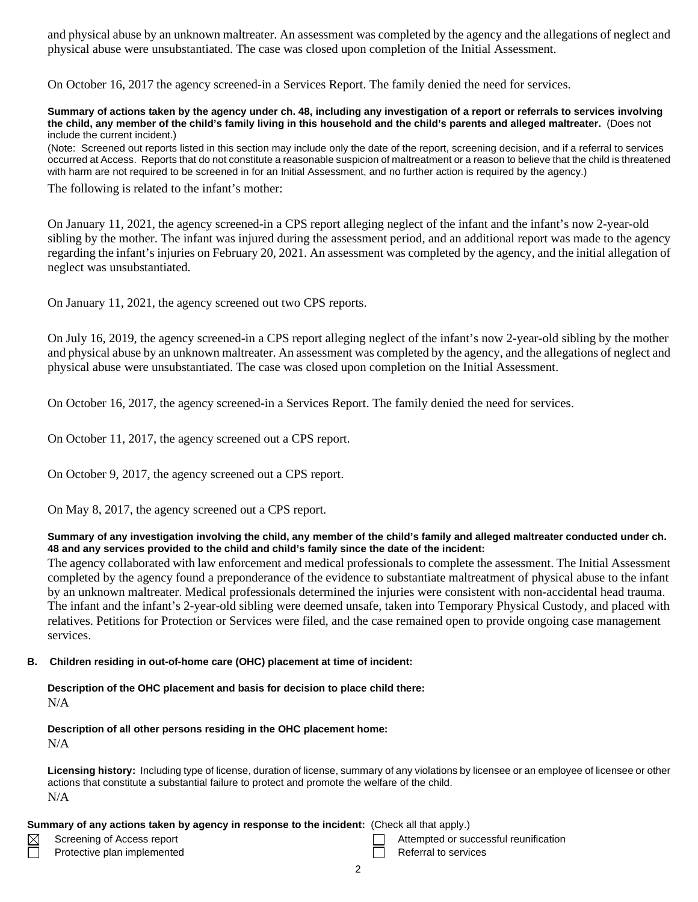and physical abuse by an unknown maltreater. An assessment was completed by the agency and the allegations of neglect and physical abuse were unsubstantiated. The case was closed upon completion of the Initial Assessment.

On October 16, 2017 the agency screened-in a Services Report. The family denied the need for services.

**Summary of actions taken by the agency under ch. 48, including any investigation of a report or referrals to services involving the child, any member of the child's family living in this household and the child's parents and alleged maltreater.** (Does not include the current incident.)

(Note: Screened out reports listed in this section may include only the date of the report, screening decision, and if a referral to services occurred at Access. Reports that do not constitute a reasonable suspicion of maltreatment or a reason to believe that the child is threatened with harm are not required to be screened in for an Initial Assessment, and no further action is required by the agency.)

The following is related to the infant's mother:

On January 11, 2021, the agency screened-in a CPS report alleging neglect of the infant and the infant's now 2-year-old sibling by the mother. The infant was injured during the assessment period, and an additional report was made to the agency regarding the infant's injuries on February 20, 2021. An assessment was completed by the agency, and the initial allegation of neglect was unsubstantiated.

On January 11, 2021, the agency screened out two CPS reports.

On July 16, 2019, the agency screened-in a CPS report alleging neglect of the infant's now 2-year-old sibling by the mother and physical abuse by an unknown maltreater. An assessment was completed by the agency, and the allegations of neglect and physical abuse were unsubstantiated. The case was closed upon completion on the Initial Assessment.

On October 16, 2017, the agency screened-in a Services Report. The family denied the need for services.

On October 11, 2017, the agency screened out a CPS report.

On October 9, 2017, the agency screened out a CPS report.

On May 8, 2017, the agency screened out a CPS report.

#### **Summary of any investigation involving the child, any member of the child's family and alleged maltreater conducted under ch. 48 and any services provided to the child and child's family since the date of the incident:**

The agency collaborated with law enforcement and medical professionals to complete the assessment. The Initial Assessment completed by the agency found a preponderance of the evidence to substantiate maltreatment of physical abuse to the infant by an unknown maltreater. Medical professionals determined the injuries were consistent with non-accidental head trauma. The infant and the infant's 2-year-old sibling were deemed unsafe, taken into Temporary Physical Custody, and placed with relatives. Petitions for Protection or Services were filed, and the case remained open to provide ongoing case management services.

#### **B. Children residing in out-of-home care (OHC) placement at time of incident:**

#### **Description of the OHC placement and basis for decision to place child there:** N/A

# **Description of all other persons residing in the OHC placement home:**

N/A

**Licensing history:** Including type of license, duration of license, summary of any violations by licensee or an employee of licensee or other actions that constitute a substantial failure to protect and promote the welfare of the child. N/A

### **Summary of any actions taken by agency in response to the incident:** (Check all that apply.)

| Screening of Access report |  |  |  |
|----------------------------|--|--|--|
|                            |  |  |  |

- Protective plan implemented **Referral to services** Referral to services
- Attempted or successful reunification
	- 2